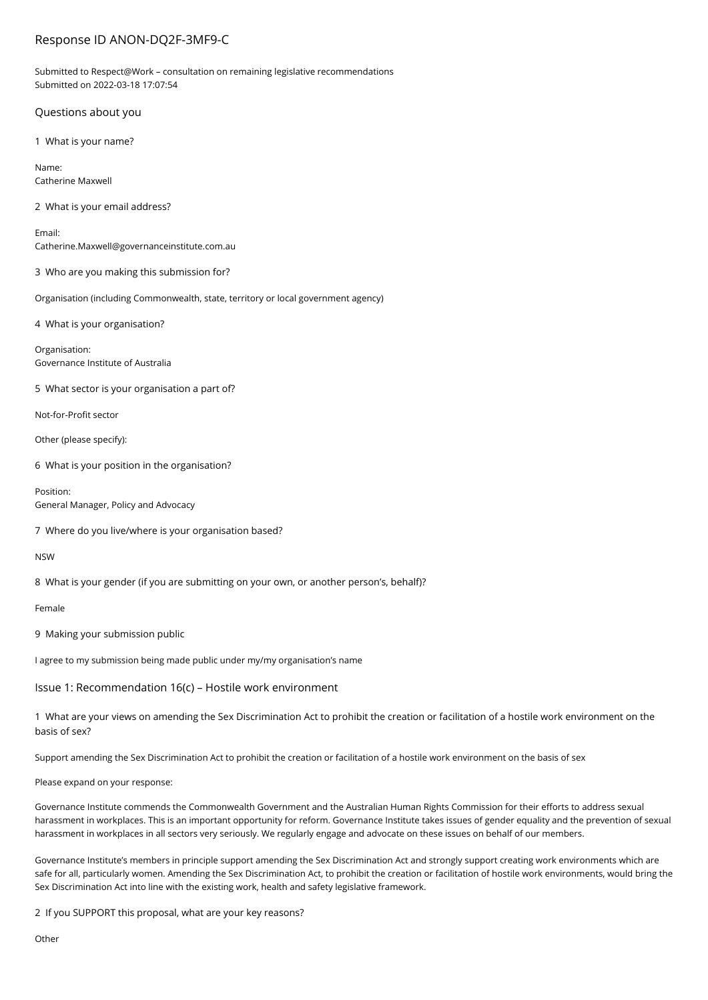# Response ID ANON-DQ2F-3MF9-C

Submitted to Respect@Work – consultation on remaining legislative recommendations Submitted on 2022-03-18 17:07:54

## Questions about you

1 What is your name?

Name: Catherine Maxwell

2 What is your email address?

Email: Catherine.Maxwell@governanceinstitute.com.au

3 Who are you making this submission for?

Organisation (including Commonwealth, state, territory or local government agency)

4 What is your organisation?

Organisation: Governance Institute of Australia

5 What sector is your organisation a part of?

Not-for-Profit sector

Other (please specify):

6 What is your position in the organisation?

Position: General Manager, Policy and Advocacy

7 Where do you live/where is your organisation based?

NSW

8 What is your gender (if you are submitting on your own, or another person's, behalf)?

Female

9 Making your submission public

I agree to my submission being made public under my/my organisation's name

Issue 1: Recommendation 16(c) – Hostile work environment

1 What are your views on amending the Sex Discrimination Act to prohibit the creation or facilitation of a hostile work environment on the basis of sex?

Support amending the Sex Discrimination Act to prohibit the creation or facilitation of a hostile work environment on the basis of sex

Please expand on your response:

Governance Institute commends the Commonwealth Government and the Australian Human Rights Commission for their efforts to address sexual harassment in workplaces. This is an important opportunity for reform. Governance Institute takes issues of gender equality and the prevention of sexual harassment in workplaces in all sectors very seriously. We regularly engage and advocate on these issues on behalf of our members.

Governance Institute's members in principle support amending the Sex Discrimination Act and strongly support creating work environments which are safe for all, particularly women. Amending the Sex Discrimination Act, to prohibit the creation or facilitation of hostile work environments, would bring the Sex Discrimination Act into line with the existing work, health and safety legislative framework.

2 If you SUPPORT this proposal, what are your key reasons?

**Other**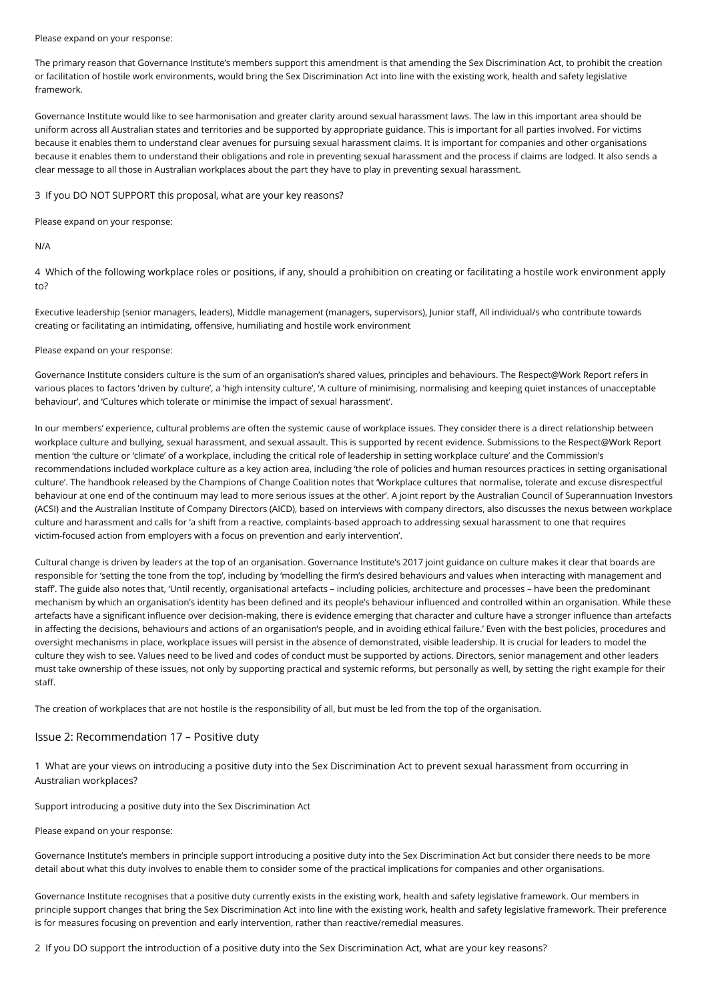#### Please expand on your response:

The primary reason that Governance Institute's members support this amendment is that amending the Sex Discrimination Act, to prohibit the creation or facilitation of hostile work environments, would bring the Sex Discrimination Act into line with the existing work, health and safety legislative framework.

Governance Institute would like to see harmonisation and greater clarity around sexual harassment laws. The law in this important area should be uniform across all Australian states and territories and be supported by appropriate guidance. This is important for all parties involved. For victims because it enables them to understand clear avenues for pursuing sexual harassment claims. It is important for companies and other organisations because it enables them to understand their obligations and role in preventing sexual harassment and the process if claims are lodged. It also sends a clear message to all those in Australian workplaces about the part they have to play in preventing sexual harassment.

3 If you DO NOT SUPPORT this proposal, what are your key reasons?

Please expand on your response:

N/A

4 Which of the following workplace roles or positions, if any, should a prohibition on creating or facilitating a hostile work environment apply to?

Executive leadership (senior managers, leaders), Middle management (managers, supervisors), Junior staff, All individual/s who contribute towards creating or facilitating an intimidating, offensive, humiliating and hostile work environment

## Please expand on your response:

Governance Institute considers culture is the sum of an organisation's shared values, principles and behaviours. The Respect@Work Report refers in various places to factors 'driven by culture', a 'high intensity culture', 'A culture of minimising, normalising and keeping quiet instances of unacceptable behaviour', and 'Cultures which tolerate or minimise the impact of sexual harassment'.

In our members' experience, cultural problems are often the systemic cause of workplace issues. They consider there is a direct relationship between workplace culture and bullying, sexual harassment, and sexual assault. This is supported by recent evidence. Submissions to the Respect@Work Report mention 'the culture or 'climate' of a workplace, including the critical role of leadership in setting workplace culture' and the Commission's recommendations included workplace culture as a key action area, including 'the role of policies and human resources practices in setting organisational culture'. The handbook released by the Champions of Change Coalition notes that 'Workplace cultures that normalise, tolerate and excuse disrespectful behaviour at one end of the continuum may lead to more serious issues at the other'. A joint report by the Australian Council of Superannuation Investors (ACSI) and the Australian Institute of Company Directors (AICD), based on interviews with company directors, also discusses the nexus between workplace culture and harassment and calls for 'a shift from a reactive, complaints-based approach to addressing sexual harassment to one that requires victim-focused action from employers with a focus on prevention and early intervention'.

Cultural change is driven by leaders at the top of an organisation. Governance Institute's 2017 joint guidance on culture makes it clear that boards are responsible for 'setting the tone from the top', including by 'modelling the firm's desired behaviours and values when interacting with management and staff'. The guide also notes that, 'Until recently, organisational artefacts – including policies, architecture and processes – have been the predominant mechanism by which an organisation's identity has been defined and its people's behaviour influenced and controlled within an organisation. While these artefacts have a significant influence over decision-making, there is evidence emerging that character and culture have a stronger influence than artefacts in affecting the decisions, behaviours and actions of an organisation's people, and in avoiding ethical failure.' Even with the best policies, procedures and oversight mechanisms in place, workplace issues will persist in the absence of demonstrated, visible leadership. It is crucial for leaders to model the culture they wish to see. Values need to be lived and codes of conduct must be supported by actions. Directors, senior management and other leaders must take ownership of these issues, not only by supporting practical and systemic reforms, but personally as well, by setting the right example for their staff.

The creation of workplaces that are not hostile is the responsibility of all, but must be led from the top of the organisation.

## Issue 2: Recommendation 17 – Positive duty

1 What are your views on introducing a positive duty into the Sex Discrimination Act to prevent sexual harassment from occurring in Australian workplaces?

Support introducing a positive duty into the Sex Discrimination Act

## Please expand on your response:

Governance Institute's members in principle support introducing a positive duty into the Sex Discrimination Act but consider there needs to be more detail about what this duty involves to enable them to consider some of the practical implications for companies and other organisations.

Governance Institute recognises that a positive duty currently exists in the existing work, health and safety legislative framework. Our members in principle support changes that bring the Sex Discrimination Act into line with the existing work, health and safety legislative framework. Their preference is for measures focusing on prevention and early intervention, rather than reactive/remedial measures.

2 If you DO support the introduction of a positive duty into the Sex Discrimination Act, what are your key reasons?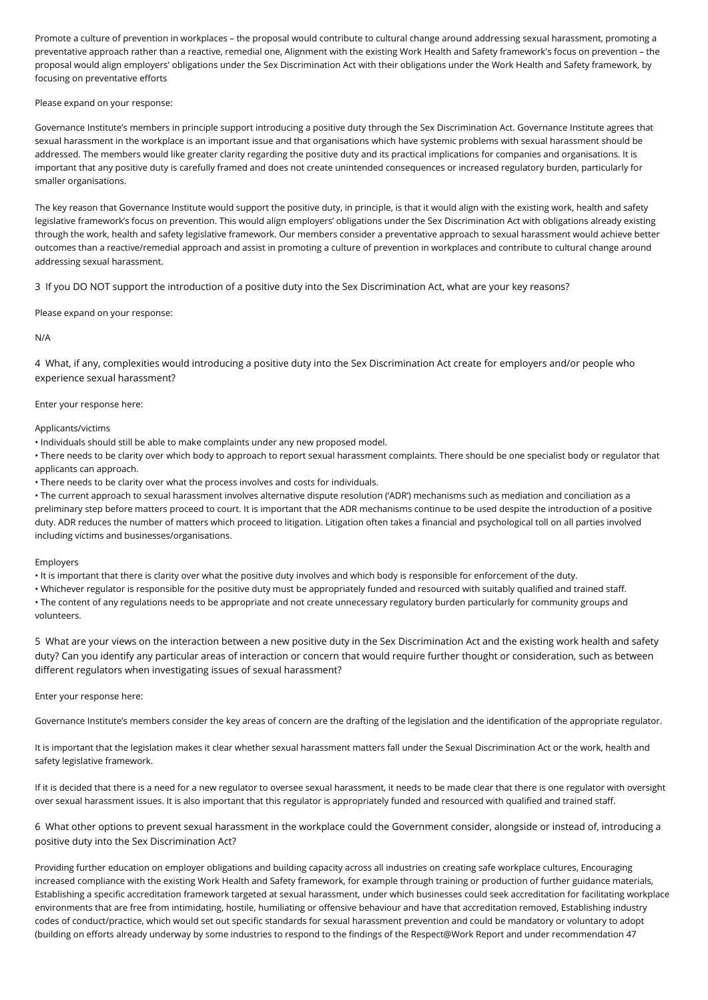Promote a culture of prevention in workplaces – the proposal would contribute to cultural change around addressing sexual harassment, promoting a preventative approach rather than a reactive, remedial one, Alignment with the existing Work Health and Safety framework's focus on prevention – the proposal would align employers' obligations under the Sex Discrimination Act with their obligations under the Work Health and Safety framework, by focusing on preventative efforts

Please expand on your response:

Governance Institute's members in principle support introducing a positive duty through the Sex Discrimination Act. Governance Institute agrees that sexual harassment in the workplace is an important issue and that organisations which have systemic problems with sexual harassment should be addressed. The members would like greater clarity regarding the positive duty and its practical implications for companies and organisations. It is important that any positive duty is carefully framed and does not create unintended consequences or increased regulatory burden, particularly for smaller organisations.

The key reason that Governance Institute would support the positive duty, in principle, is that it would align with the existing work, health and safety legislative framework's focus on prevention. This would align employers' obligations under the Sex Discrimination Act with obligations already existing through the work, health and safety legislative framework. Our members consider a preventative approach to sexual harassment would achieve better outcomes than a reactive/remedial approach and assist in promoting a culture of prevention in workplaces and contribute to cultural change around addressing sexual harassment.

3 If you DO NOT support the introduction of a positive duty into the Sex Discrimination Act, what are your key reasons?

Please expand on your response:

N/A

4 What, if any, complexities would introducing a positive duty into the Sex Discrimination Act create for employers and/or people who experience sexual harassment?

Enter your response here:

Applicants/victims

• Individuals should still be able to make complaints under any new proposed model.

• There needs to be clarity over which body to approach to report sexual harassment complaints. There should be one specialist body or regulator that applicants can approach.

• There needs to be clarity over what the process involves and costs for individuals.

• The current approach to sexual harassment involves alternative dispute resolution ('ADR') mechanisms such as mediation and conciliation as a preliminary step before matters proceed to court. It is important that the ADR mechanisms continue to be used despite the introduction of a positive duty. ADR reduces the number of matters which proceed to litigation. Litigation often takes a financial and psychological toll on all parties involved including victims and businesses/organisations.

Employers

• It is important that there is clarity over what the positive duty involves and which body is responsible for enforcement of the duty.

• Whichever regulator is responsible for the positive duty must be appropriately funded and resourced with suitably qualified and trained staff. • The content of any regulations needs to be appropriate and not create unnecessary regulatory burden particularly for community groups and volunteers.

5 What are your views on the interaction between a new positive duty in the Sex Discrimination Act and the existing work health and safety duty? Can you identify any particular areas of interaction or concern that would require further thought or consideration, such as between different regulators when investigating issues of sexual harassment?

Enter your response here:

Governance Institute's members consider the key areas of concern are the drafting of the legislation and the identification of the appropriate regulator.

It is important that the legislation makes it clear whether sexual harassment matters fall under the Sexual Discrimination Act or the work, health and safety legislative framework.

If it is decided that there is a need for a new regulator to oversee sexual harassment, it needs to be made clear that there is one regulator with oversight over sexual harassment issues. It is also important that this regulator is appropriately funded and resourced with qualified and trained staff.

6 What other options to prevent sexual harassment in the workplace could the Government consider, alongside or instead of, introducing a positive duty into the Sex Discrimination Act?

Providing further education on employer obligations and building capacity across all industries on creating safe workplace cultures, Encouraging increased compliance with the existing Work Health and Safety framework, for example through training or production of further guidance materials, Establishing a specific accreditation framework targeted at sexual harassment, under which businesses could seek accreditation for facilitating workplace environments that are free from intimidating, hostile, humiliating or offensive behaviour and have that accreditation removed, Establishing industry codes of conduct/practice, which would set out specific standards for sexual harassment prevention and could be mandatory or voluntary to adopt (building on efforts already underway by some industries to respond to the findings of the Respect@Work Report and under recommendation 47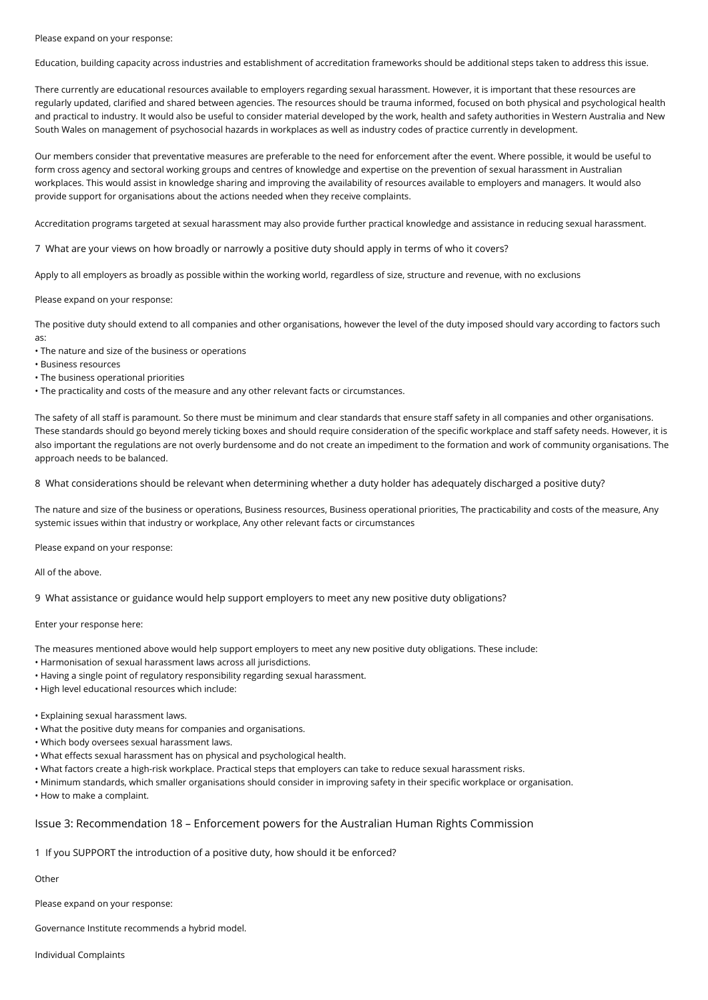Please expand on your response:

Education, building capacity across industries and establishment of accreditation frameworks should be additional steps taken to address this issue.

There currently are educational resources available to employers regarding sexual harassment. However, it is important that these resources are regularly updated, clarified and shared between agencies. The resources should be trauma informed, focused on both physical and psychological health and practical to industry. It would also be useful to consider material developed by the work, health and safety authorities in Western Australia and New South Wales on management of psychosocial hazards in workplaces as well as industry codes of practice currently in development.

Our members consider that preventative measures are preferable to the need for enforcement after the event. Where possible, it would be useful to form cross agency and sectoral working groups and centres of knowledge and expertise on the prevention of sexual harassment in Australian workplaces. This would assist in knowledge sharing and improving the availability of resources available to employers and managers. It would also provide support for organisations about the actions needed when they receive complaints.

Accreditation programs targeted at sexual harassment may also provide further practical knowledge and assistance in reducing sexual harassment.

7 What are your views on how broadly or narrowly a positive duty should apply in terms of who it covers?

Apply to all employers as broadly as possible within the working world, regardless of size, structure and revenue, with no exclusions

Please expand on your response:

The positive duty should extend to all companies and other organisations, however the level of the duty imposed should vary according to factors such as:

• The nature and size of the business or operations

• Business resources

• The business operational priorities

• The practicality and costs of the measure and any other relevant facts or circumstances.

The safety of all staff is paramount. So there must be minimum and clear standards that ensure staff safety in all companies and other organisations. These standards should go beyond merely ticking boxes and should require consideration of the specific workplace and staff safety needs. However, it is also important the regulations are not overly burdensome and do not create an impediment to the formation and work of community organisations. The approach needs to be balanced.

8 What considerations should be relevant when determining whether a duty holder has adequately discharged a positive duty?

The nature and size of the business or operations, Business resources, Business operational priorities, The practicability and costs of the measure, Any systemic issues within that industry or workplace, Any other relevant facts or circumstances

Please expand on your response:

All of the above.

9 What assistance or guidance would help support employers to meet any new positive duty obligations?

Enter your response here:

The measures mentioned above would help support employers to meet any new positive duty obligations. These include:

• Harmonisation of sexual harassment laws across all jurisdictions.

- Having a single point of regulatory responsibility regarding sexual harassment.
- High level educational resources which include:

• Explaining sexual harassment laws.

- What the positive duty means for companies and organisations.
- Which body oversees sexual harassment laws.
- What effects sexual harassment has on physical and psychological health.
- What factors create a high-risk workplace. Practical steps that employers can take to reduce sexual harassment risks.
- Minimum standards, which smaller organisations should consider in improving safety in their specific workplace or organisation.
- How to make a complaint.

## Issue 3: Recommendation 18 – Enforcement powers for the Australian Human Rights Commission

1 If you SUPPORT the introduction of a positive duty, how should it be enforced?

**Other** 

Please expand on your response:

Governance Institute recommends a hybrid model.

Individual Complaints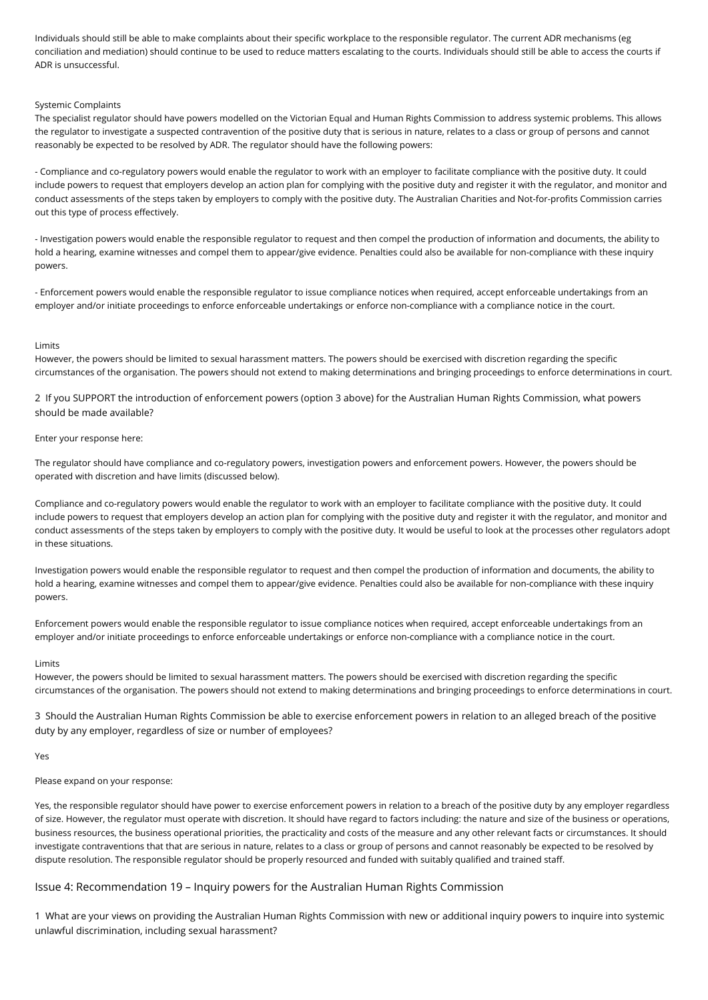Individuals should still be able to make complaints about their specific workplace to the responsible regulator. The current ADR mechanisms (eg conciliation and mediation) should continue to be used to reduce matters escalating to the courts. Individuals should still be able to access the courts if ADR is unsuccessful.

## Systemic Complaints

The specialist regulator should have powers modelled on the Victorian Equal and Human Rights Commission to address systemic problems. This allows the regulator to investigate a suspected contravention of the positive duty that is serious in nature, relates to a class or group of persons and cannot reasonably be expected to be resolved by ADR. The regulator should have the following powers:

- Compliance and co-regulatory powers would enable the regulator to work with an employer to facilitate compliance with the positive duty. It could include powers to request that employers develop an action plan for complying with the positive duty and register it with the regulator, and monitor and conduct assessments of the steps taken by employers to comply with the positive duty. The Australian Charities and Not-for-profits Commission carries out this type of process effectively.

- Investigation powers would enable the responsible regulator to request and then compel the production of information and documents, the ability to hold a hearing, examine witnesses and compel them to appear/give evidence. Penalties could also be available for non-compliance with these inquiry powers.

- Enforcement powers would enable the responsible regulator to issue compliance notices when required, accept enforceable undertakings from an employer and/or initiate proceedings to enforce enforceable undertakings or enforce non-compliance with a compliance notice in the court.

## Limits

However, the powers should be limited to sexual harassment matters. The powers should be exercised with discretion regarding the specific circumstances of the organisation. The powers should not extend to making determinations and bringing proceedings to enforce determinations in court.

2 If you SUPPORT the introduction of enforcement powers (option 3 above) for the Australian Human Rights Commission, what powers should be made available?

#### Enter your response here:

The regulator should have compliance and co-regulatory powers, investigation powers and enforcement powers. However, the powers should be operated with discretion and have limits (discussed below).

Compliance and co-regulatory powers would enable the regulator to work with an employer to facilitate compliance with the positive duty. It could include powers to request that employers develop an action plan for complying with the positive duty and register it with the regulator, and monitor and conduct assessments of the steps taken by employers to comply with the positive duty. It would be useful to look at the processes other regulators adopt in these situations.

Investigation powers would enable the responsible regulator to request and then compel the production of information and documents, the ability to hold a hearing, examine witnesses and compel them to appear/give evidence. Penalties could also be available for non-compliance with these inquiry powers.

Enforcement powers would enable the responsible regulator to issue compliance notices when required, accept enforceable undertakings from an employer and/or initiate proceedings to enforce enforceable undertakings or enforce non-compliance with a compliance notice in the court.

#### Limits

However, the powers should be limited to sexual harassment matters. The powers should be exercised with discretion regarding the specific circumstances of the organisation. The powers should not extend to making determinations and bringing proceedings to enforce determinations in court.

3 Should the Australian Human Rights Commission be able to exercise enforcement powers in relation to an alleged breach of the positive duty by any employer, regardless of size or number of employees?

#### Yes

## Please expand on your response:

Yes, the responsible regulator should have power to exercise enforcement powers in relation to a breach of the positive duty by any employer regardless of size. However, the regulator must operate with discretion. It should have regard to factors including: the nature and size of the business or operations, business resources, the business operational priorities, the practicality and costs of the measure and any other relevant facts or circumstances. It should investigate contraventions that that are serious in nature, relates to a class or group of persons and cannot reasonably be expected to be resolved by dispute resolution. The responsible regulator should be properly resourced and funded with suitably qualified and trained staff.

## Issue 4: Recommendation 19 – Inquiry powers for the Australian Human Rights Commission

1 What are your views on providing the Australian Human Rights Commission with new or additional inquiry powers to inquire into systemic unlawful discrimination, including sexual harassment?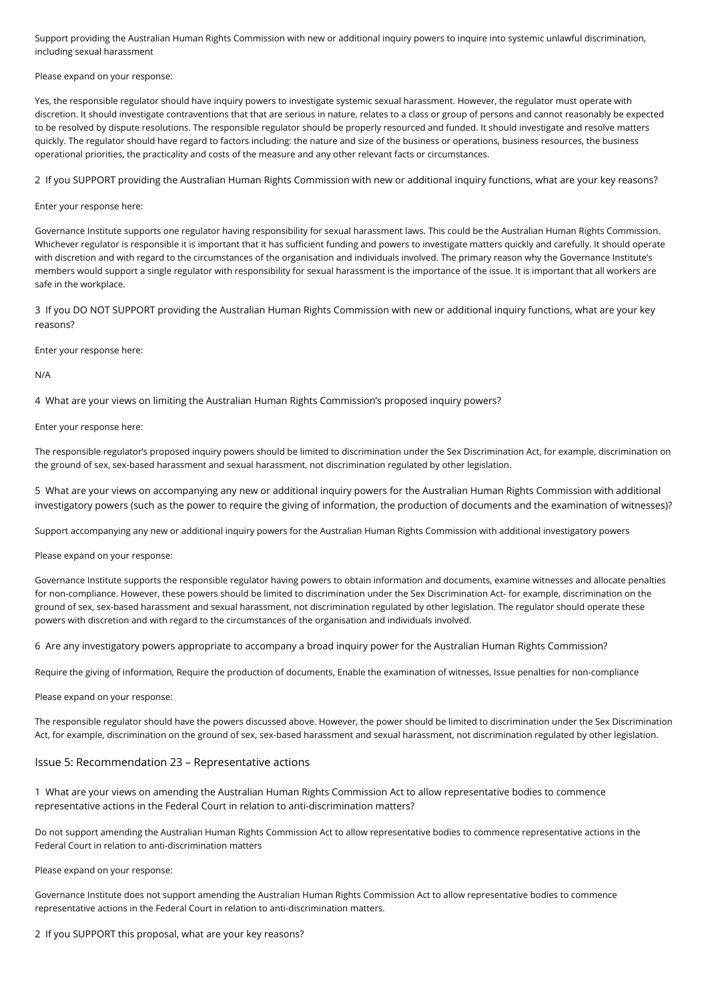Support providing the Australian Human Rights Commission with new or additional inquiry powers to inquire into systemic unlawful discrimination, including sexual harassment

Please expand on your response:

Yes, the responsible regulator should have inquiry powers to investigate systemic sexual harassment. However, the regulator must operate with discretion. It should investigate contraventions that that are serious in nature, relates to a class or group of persons and cannot reasonably be expected to be resolved by dispute resolutions. The responsible regulator should be properly resourced and funded. It should investigate and resolve matters quickly. The regulator should have regard to factors including: the nature and size of the business or operations, business resources, the business operational priorities, the practicality and costs of the measure and any other relevant facts or circumstances.

2 If you SUPPORT providing the Australian Human Rights Commission with new or additional inquiry functions, what are your key reasons?

## Enter your response here:

Governance Institute supports one regulator having responsibility for sexual harassment laws. This could be the Australian Human Rights Commission. Whichever regulator is responsible it is important that it has sufficient funding and powers to investigate matters quickly and carefully. It should operate with discretion and with regard to the circumstances of the organisation and individuals involved. The primary reason why the Governance Institute's members would support a single regulator with responsibility for sexual harassment is the importance of the issue. It is important that all workers are safe in the workplace.

3 If you DO NOT SUPPORT providing the Australian Human Rights Commission with new or additional inquiry functions, what are your key reasons?

Enter your response here:

N/A

4 What are your views on limiting the Australian Human Rights Commission's proposed inquiry powers?

Enter your response here:

The responsible regulator's proposed inquiry powers should be limited to discrimination under the Sex Discrimination Act, for example, discrimination on the ground of sex, sex-based harassment and sexual harassment, not discrimination regulated by other legislation.

5 What are your views on accompanying any new or additional inquiry powers for the Australian Human Rights Commission with additional investigatory powers (such as the power to require the giving of information, the production of documents and the examination of witnesses)?

Support accompanying any new or additional inquiry powers for the Australian Human Rights Commission with additional investigatory powers

Please expand on your response:

Governance Institute supports the responsible regulator having powers to obtain information and documents, examine witnesses and allocate penalties for non-compliance. However, these powers should be limited to discrimination under the Sex Discrimination Act- for example, discrimination on the ground of sex, sex-based harassment and sexual harassment, not discrimination regulated by other legislation. The regulator should operate these powers with discretion and with regard to the circumstances of the organisation and individuals involved.

6 Are any investigatory powers appropriate to accompany a broad inquiry power for the Australian Human Rights Commission?

Require the giving of information, Require the production of documents, Enable the examination of witnesses, Issue penalties for non-compliance

Please expand on your response:

The responsible regulator should have the powers discussed above. However, the power should be limited to discrimination under the Sex Discrimination Act, for example, discrimination on the ground of sex, sex-based harassment and sexual harassment, not discrimination regulated by other legislation.

## Issue 5: Recommendation 23 – Representative actions

1 What are your views on amending the Australian Human Rights Commission Act to allow representative bodies to commence representative actions in the Federal Court in relation to anti-discrimination matters?

Do not support amending the Australian Human Rights Commission Act to allow representative bodies to commence representative actions in the Federal Court in relation to anti-discrimination matters

Please expand on your response:

Governance Institute does not support amending the Australian Human Rights Commission Act to allow representative bodies to commence representative actions in the Federal Court in relation to anti-discrimination matters.

2 If you SUPPORT this proposal, what are your key reasons?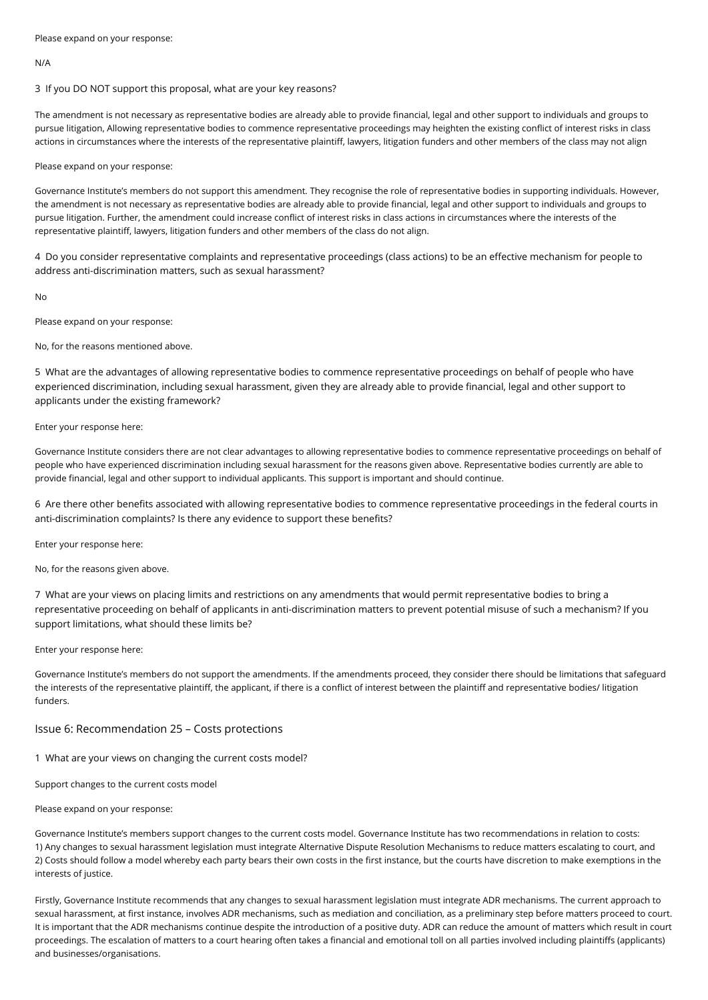## N/A

## 3 If you DO NOT support this proposal, what are your key reasons?

The amendment is not necessary as representative bodies are already able to provide financial, legal and other support to individuals and groups to pursue litigation, Allowing representative bodies to commence representative proceedings may heighten the existing conflict of interest risks in class actions in circumstances where the interests of the representative plaintiff, lawyers, litigation funders and other members of the class may not align

## Please expand on your response:

Governance Institute's members do not support this amendment. They recognise the role of representative bodies in supporting individuals. However, the amendment is not necessary as representative bodies are already able to provide financial, legal and other support to individuals and groups to pursue litigation. Further, the amendment could increase conflict of interest risks in class actions in circumstances where the interests of the representative plaintiff, lawyers, litigation funders and other members of the class do not align.

4 Do you consider representative complaints and representative proceedings (class actions) to be an effective mechanism for people to address anti-discrimination matters, such as sexual harassment?

No

Please expand on your response:

No, for the reasons mentioned above.

5 What are the advantages of allowing representative bodies to commence representative proceedings on behalf of people who have experienced discrimination, including sexual harassment, given they are already able to provide financial, legal and other support to applicants under the existing framework?

## Enter your response here:

Governance Institute considers there are not clear advantages to allowing representative bodies to commence representative proceedings on behalf of people who have experienced discrimination including sexual harassment for the reasons given above. Representative bodies currently are able to provide financial, legal and other support to individual applicants. This support is important and should continue.

6 Are there other benefits associated with allowing representative bodies to commence representative proceedings in the federal courts in anti-discrimination complaints? Is there any evidence to support these benefits?

Enter your response here:

No, for the reasons given above.

7 What are your views on placing limits and restrictions on any amendments that would permit representative bodies to bring a representative proceeding on behalf of applicants in anti-discrimination matters to prevent potential misuse of such a mechanism? If you support limitations, what should these limits be?

## Enter your response here:

Governance Institute's members do not support the amendments. If the amendments proceed, they consider there should be limitations that safeguard the interests of the representative plaintiff, the applicant, if there is a conflict of interest between the plaintiff and representative bodies/ litigation funders.

## Issue 6: Recommendation 25 – Costs protections

1 What are your views on changing the current costs model?

Support changes to the current costs model

## Please expand on your response:

Governance Institute's members support changes to the current costs model. Governance Institute has two recommendations in relation to costs: 1) Any changes to sexual harassment legislation must integrate Alternative Dispute Resolution Mechanisms to reduce matters escalating to court, and 2) Costs should follow a model whereby each party bears their own costs in the first instance, but the courts have discretion to make exemptions in the interests of justice.

Firstly, Governance Institute recommends that any changes to sexual harassment legislation must integrate ADR mechanisms. The current approach to sexual harassment, at first instance, involves ADR mechanisms, such as mediation and conciliation, as a preliminary step before matters proceed to court. It is important that the ADR mechanisms continue despite the introduction of a positive duty. ADR can reduce the amount of matters which result in court proceedings. The escalation of matters to a court hearing often takes a financial and emotional toll on all parties involved including plaintiffs (applicants) and businesses/organisations.